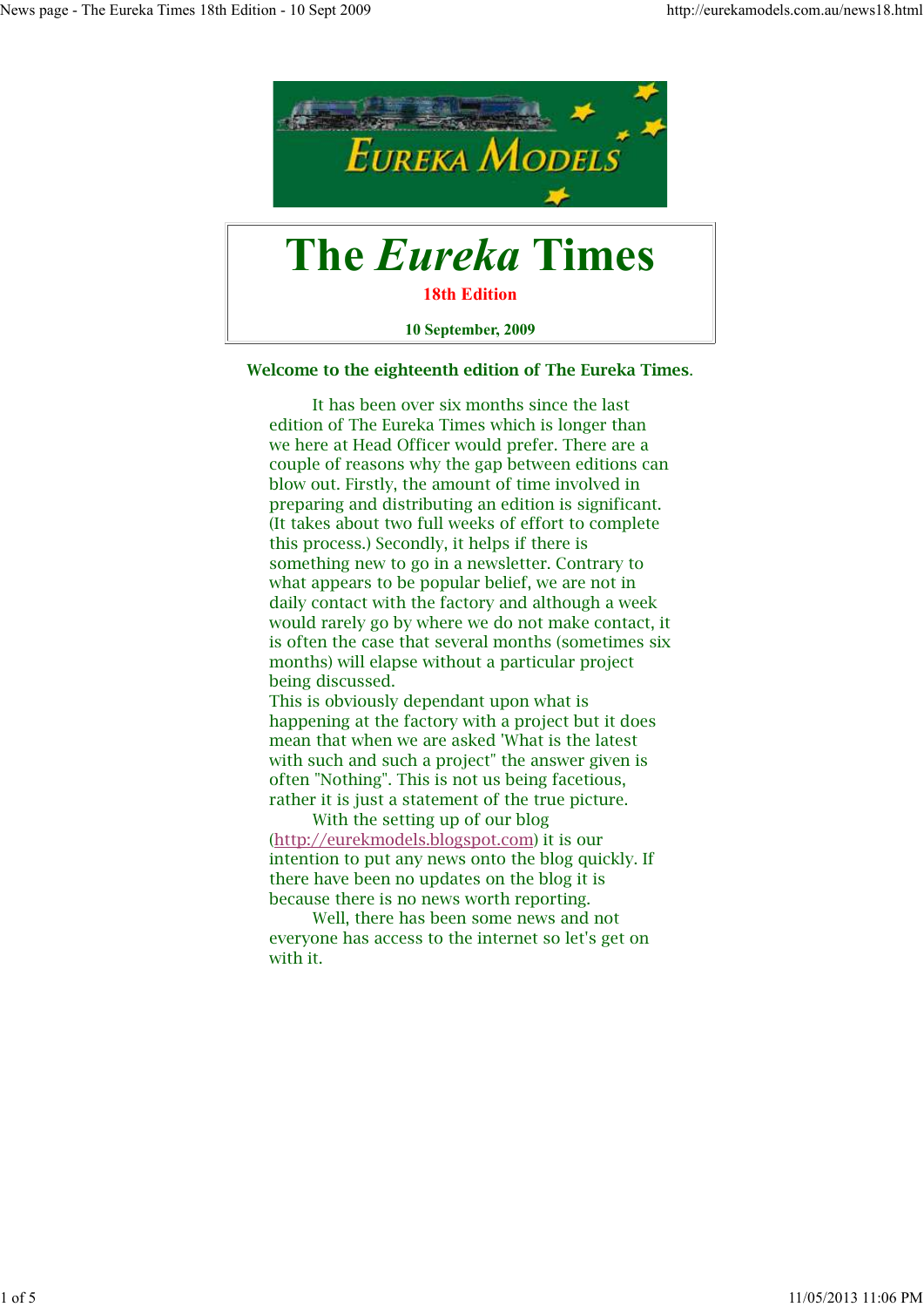

**10 September, 2009**

#### **Welcome to the eighteenth edition of The Eureka Times**.

 It has been over six months since the last edition of The Eureka Times which is longer than we here at Head Officer would prefer. There are a couple of reasons why the gap between editions can blow out. Firstly, the amount of time involved in preparing and distributing an edition is significant. (It takes about two full weeks of effort to complete this process.) Secondly, it helps if there is something new to go in a newsletter. Contrary to what appears to be popular belief, we are not in daily contact with the factory and although a week would rarely go by where we do not make contact, it is often the case that several months (sometimes six months) will elapse without a particular project being discussed.

This is obviously dependant upon what is happening at the factory with a project but it does mean that when we are asked 'What is the latest with such and such a project" the answer given is often "Nothing". This is not us being facetious, rather it is just a statement of the true picture.

 With the setting up of our blog (http://eurekmodels.blogspot.com) it is our intention to put any news onto the blog quickly. If there have been no updates on the blog it is because there is no news worth reporting.

 Well, there has been some news and not everyone has access to the internet so let's get on with it.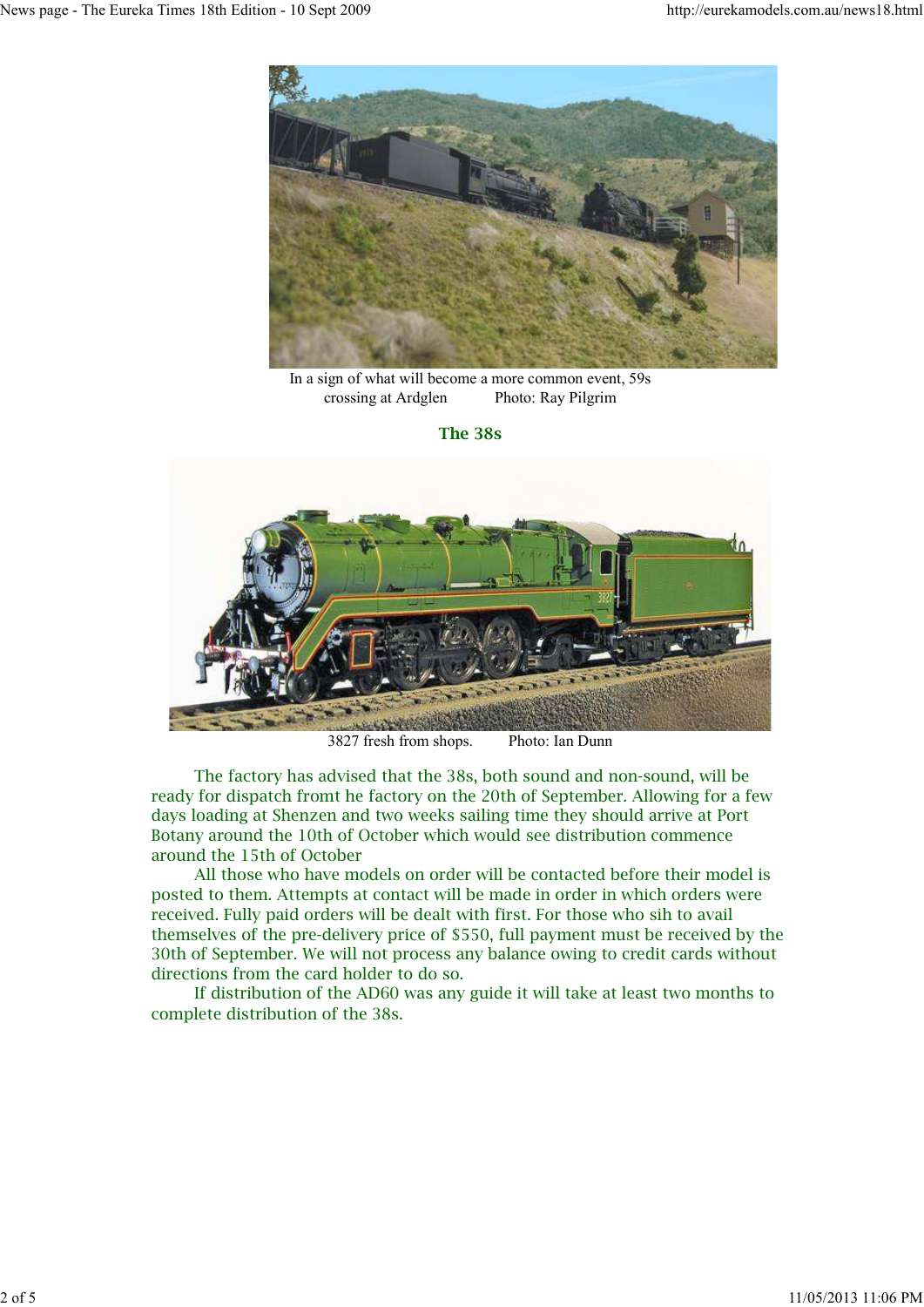

In a sign of what will become a more common event, 59s crossing at Ardglen Photo: Ray Pilgrim

**The 38s**



3827 fresh from shops. Photo: Ian Dunn

 The factory has advised that the 38s, both sound and non-sound, will be ready for dispatch fromt he factory on the 20th of September. Allowing for a few days loading at Shenzen and two weeks sailing time they should arrive at Port Botany around the 10th of October which would see distribution commence around the 15th of October

 All those who have models on order will be contacted before their model is posted to them. Attempts at contact will be made in order in which orders were received. Fully paid orders will be dealt with first. For those who sih to avail themselves of the pre-delivery price of \$550, full payment must be received by the 30th of September. We will not process any balance owing to credit cards without directions from the card holder to do so.

 If distribution of the AD60 was any guide it will take at least two months to complete distribution of the 38s.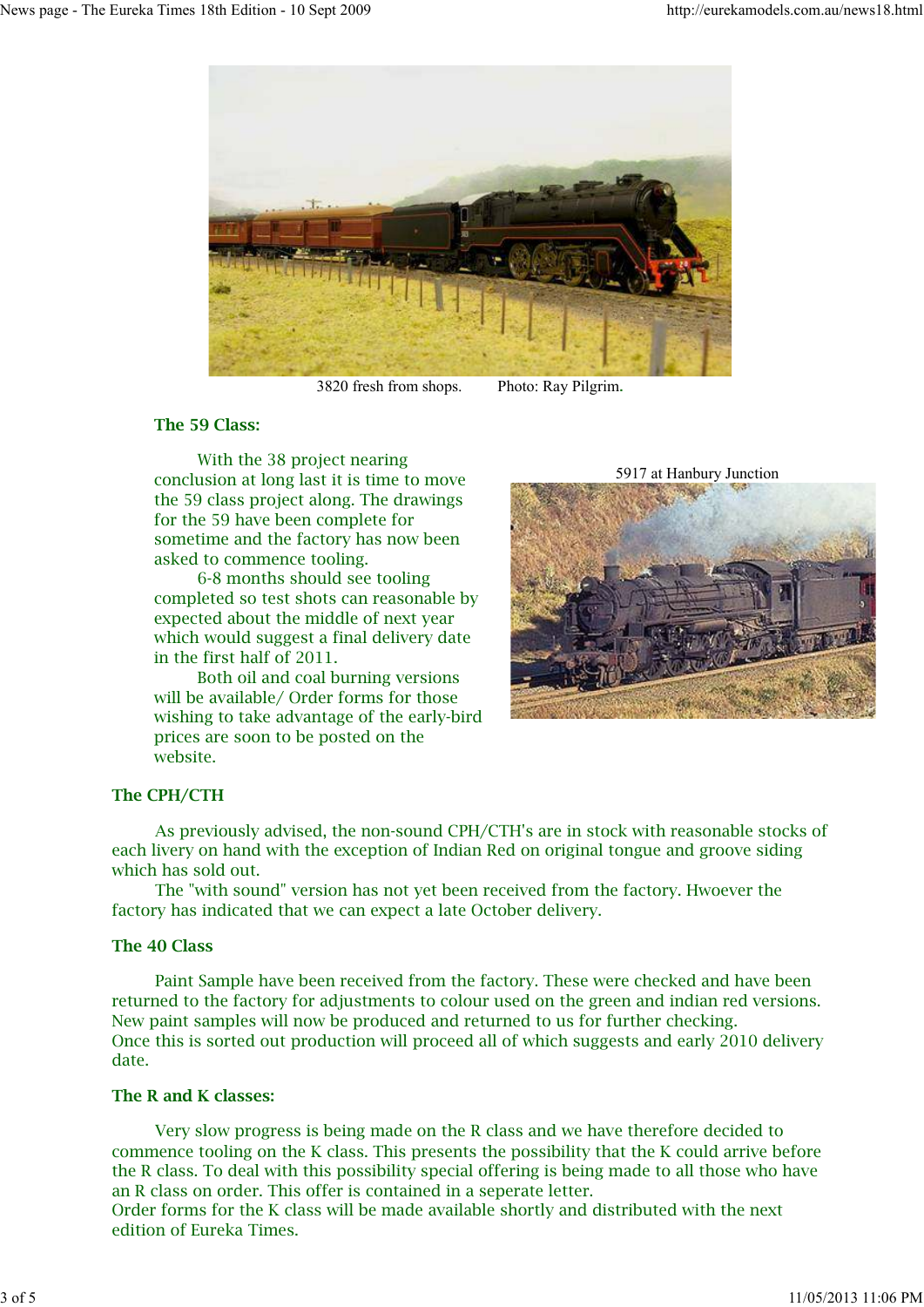

3820 fresh from shops. Photo: Ray Pilgrim.

# **The 59 Class:**

 With the 38 project nearing conclusion at long last it is time to move the 59 class project along. The drawings for the 59 have been complete for sometime and the factory has now been asked to commence tooling.

 6-8 months should see tooling completed so test shots can reasonable by expected about the middle of next year which would suggest a final delivery date in the first half of 2011.

 Both oil and coal burning versions will be available/ Order forms for those wishing to take advantage of the early-bird prices are soon to be posted on the website.

5917 at Hanbury Junction



# **The CPH/CTH**

 As previously advised, the non-sound CPH/CTH's are in stock with reasonable stocks of each livery on hand with the exception of Indian Red on original tongue and groove siding which has sold out.

 The "with sound" version has not yet been received from the factory. Hwoever the factory has indicated that we can expect a late October delivery.

# **The 40 Class**

 Paint Sample have been received from the factory. These were checked and have been returned to the factory for adjustments to colour used on the green and indian red versions. New paint samples will now be produced and returned to us for further checking. Once this is sorted out production will proceed all of which suggests and early 2010 delivery date.

# **The R and K classes:**

 Very slow progress is being made on the R class and we have therefore decided to commence tooling on the K class. This presents the possibility that the K could arrive before the R class. To deal with this possibility special offering is being made to all those who have an R class on order. This offer is contained in a seperate letter.

Order forms for the K class will be made available shortly and distributed with the next edition of Eureka Times.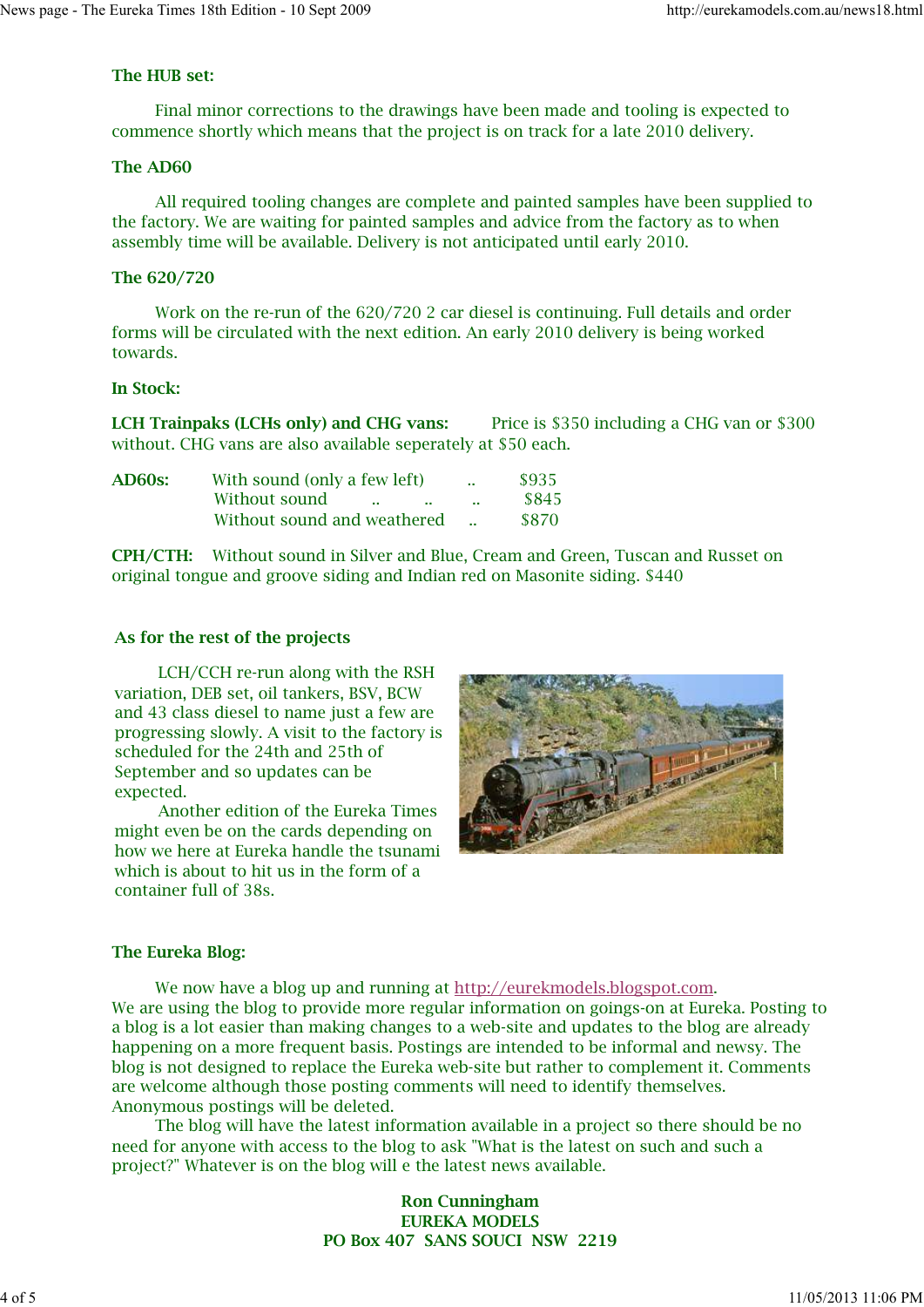# **The HUB set:**

 Final minor corrections to the drawings have been made and tooling is expected to commence shortly which means that the project is on track for a late 2010 delivery.

### **The AD60**

 All required tooling changes are complete and painted samples have been supplied to the factory. We are waiting for painted samples and advice from the factory as to when assembly time will be available. Delivery is not anticipated until early 2010.

### **The 620/720**

 Work on the re-run of the 620/720 2 car diesel is continuing. Full details and order forms will be circulated with the next edition. An early 2010 delivery is being worked towards.

# **In Stock:**

**LCH Trainpaks (LCHs only) and CHG vans:** Price is \$350 including a CHG van or \$300 without. CHG vans are also available seperately at \$50 each.

| <b>AD60s:</b> | With sound (only a few left)             | $\mathbf{r}$ | \$935 |
|---------------|------------------------------------------|--------------|-------|
|               | Without sound<br>$\sim$ $\sim$<br>$\sim$ | 14,900       | \$845 |
|               | Without sound and weathered              |              | \$870 |

**CPH/CTH:** Without sound in Silver and Blue, Cream and Green, Tuscan and Russet on original tongue and groove siding and Indian red on Masonite siding. \$440

### **As for the rest of the projects**

 LCH/CCH re-run along with the RSH variation, DEB set, oil tankers, BSV, BCW and 43 class diesel to name just a few are progressing slowly. A visit to the factory is scheduled for the 24th and 25th of September and so updates can be expected.

 Another edition of the Eureka Times might even be on the cards depending on how we here at Eureka handle the tsunami which is about to hit us in the form of a container full of 38s.



# **The Eureka Blog:**

 We now have a blog up and running at http://eurekmodels.blogspot.com. We are using the blog to provide more regular information on goings-on at Eureka. Posting to a blog is a lot easier than making changes to a web-site and updates to the blog are already happening on a more frequent basis. Postings are intended to be informal and newsy. The blog is not designed to replace the Eureka web-site but rather to complement it. Comments are welcome although those posting comments will need to identify themselves. Anonymous postings will be deleted.

 The blog will have the latest information available in a project so there should be no need for anyone with access to the blog to ask "What is the latest on such and such a project?" Whatever is on the blog will e the latest news available.

# **Ron Cunningham EUREKA MODELS PO Box 407 SANS SOUCI NSW 2219**